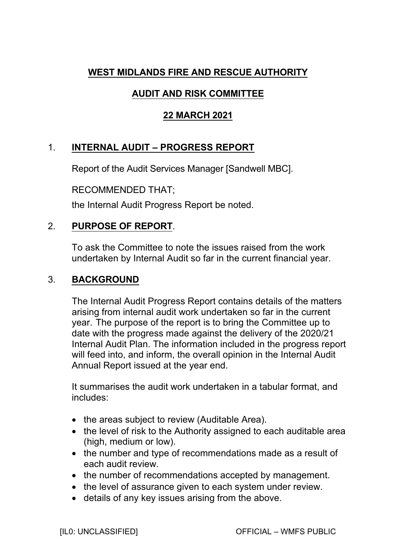## **WEST MIDLANDS FIRE AND RESCUE AUTHORITY**

# **AUDIT AND RISK COMMITTEE**

## **22 MARCH 2021**

# 1. **INTERNAL AUDIT – PROGRESS REPORT**

Report of the Audit Services Manager [Sandwell MBC].

RECOMMENDED THAT;

the Internal Audit Progress Report be noted.

## 2. **PURPOSE OF REPORT**.

To ask the Committee to note the issues raised from the work undertaken by Internal Audit so far in the current financial year.

## 3. **BACKGROUND**

The Internal Audit Progress Report contains details of the matters arising from internal audit work undertaken so far in the current year. The purpose of the report is to bring the Committee up to date with the progress made against the delivery of the 2020/21 Internal Audit Plan. The information included in the progress report will feed into, and inform, the overall opinion in the Internal Audit Annual Report issued at the year end.

It summarises the audit work undertaken in a tabular format, and includes:

- the areas subject to review (Auditable Area).
- the level of risk to the Authority assigned to each auditable area (high, medium or low).
- the number and type of recommendations made as a result of each audit review.
- the number of recommendations accepted by management.
- the level of assurance given to each system under review.
- details of any key issues arising from the above.